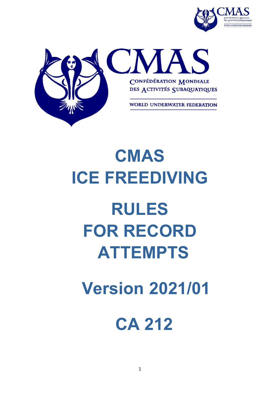



## **CMAS ICE FREEDIVING**

# **RULES FOR RECORD ATTEMPTS**

## **Version 2021/01**

### **CA 212**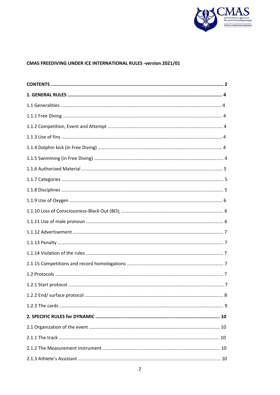

#### CMAS FREEDIVING UNDER ICE INTERNATIONAL RULES -version 2021/01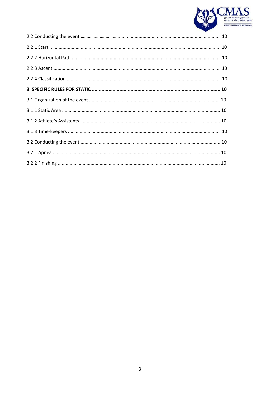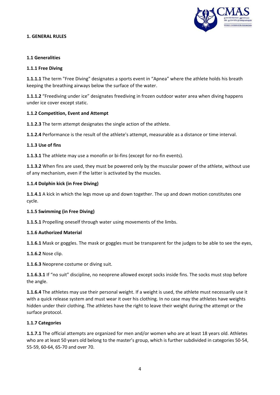

#### **1. GENERAL RULES**

#### **1.1 Generalities**

#### **1.1.1 Free Diving**

**1.1.1.1** The term "Free Diving" designates a sports event in "Apnea" where the athlete holds his breath keeping the breathing airways below the surface of the water.

**1.1.1.2** "Freediving under ice" designates freediving in frozen outdoor water area when diving happens under ice cover except static.

#### **1.1.2 Competition, Event and Attempt**

**1.1.2.3** The term attempt designates the single action of the athlete.

**1.1.2.4** Performance is the result of the athlete's attempt, measurable as a distance or time interval.

#### **1.1.3 Use of fins**

**1.1.3.1** The athlete may use a monofin or bi-fins (except for no-fin events).

**1.1.3.2** When fins are used, they must be powered only by the muscular power of the athlete, without use of any mechanism, even if the latter is activated by the muscles.

#### **1.1.4 Dolphin kick (in Free Diving)**

**1.1.4.1** A kick in which the legs move up and down together. The up and down motion constitutes one cycle.

#### **1.1.5 Swimming (in Free Diving)**

**1.1.5.1** Propelling oneself through water using movements of the limbs.

#### **1.1.6 Authorized Material**

**1.1.6.1** Mask or goggles. The mask or goggles must be transparent for the judges to be able to see the eyes,

**1.1.6.2** Nose clip.

**1.1.6.3** Neoprene costume or diving suit.

**1.1.6.3.1** If "no suit" discipline, no neoprene allowed except socks inside fins. The socks must stop before the angle.

**1.1.6.4** The athletes may use their personal weight. If a weight is used, the athlete must necessarily use it with a quick release system and must wear it over his clothing. In no case may the athletes have weights hidden under their clothing. The athletes have the right to leave their weight during the attempt or the surface protocol.

#### **1.1.7 Categories**

**1.1.7.1** The official attempts are organized for men and/or women who are at least 18 years old. Athletes who are at least 50 years old belong to the master's group, which is further subdivided in categories 50‐54, 55‐59, 60‐64, 65‐70 and over 70.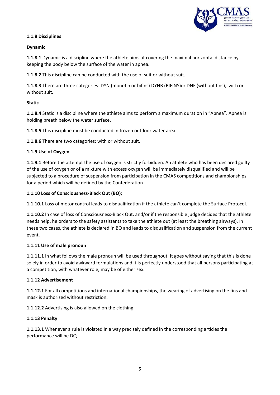

#### **1.1.8 Disciplines**

#### **Dynamic**

**1.1.8.1** Dynamic is a discipline where the athlete aims at covering the maximal horizontal distance by keeping the body below the surface of the water in apnea.

**1.1.8.2** This discipline can be conducted with the use of suit or without suit.

**1.1.8.3** There are three categories: DYN (monofin or bifins) DYNB (BIFINS)or DNF (without fins), with or without suit.

#### **Static**

**1.1.8.4** Static is a discipline where the athlete aims to perform a maximum duration in "Apnea". Apnea is holding breath below the water surface.

**1.1.8.5** This discipline must be conducted in frozen outdoor water area.

**1.1.8.6** There are two categories: with or without suit.

#### **1.1.9 Use of Oxygen**

**1.1.9.1** Before the attempt the use of oxygen is strictly forbidden. An athlete who has been declared guilty of the use of oxygen or of a mixture with excess oxygen will be immediately disqualified and will be subjected to a procedure of suspension from participation in the CMAS competitions and championships for a period which will be defined by the Confederation.

#### **1.1.10 Loss of Consciousness‐Black Out (BO);**

**1.1.10.1** Loss of motor control leads to disqualification if the athlete can't complete the Surface Protocol.

**1.1.10.2** In case of loss of Consciousness‐Black Out, and/or if the responsible judge decides that the athlete needs help, he orders to the safety assistants to take the athlete out (at least the breathing airways). In these two cases, the athlete is declared in BO and leads to disqualification and suspension from the current event.

#### **1.1.11 Use of male pronoun**

**1.1.11.1** In what follows the male pronoun will be used throughout. It goes without saying that this is done solely in order to avoid awkward formulations and it is perfectly understood that all persons participating at a competition, with whatever role, may be of either sex.

#### **1.1.12 Advertisement**

**1.1.12.1** For all competitions and international championships, the wearing of advertising on the fins and mask is authorized without restriction.

**1.1.12.2** Advertising is also allowed on the clothing.

#### **1.1.13 Penalty**

**1.1.13.1** Whenever a rule is violated in a way precisely defined in the corresponding articles the performance will be DQ.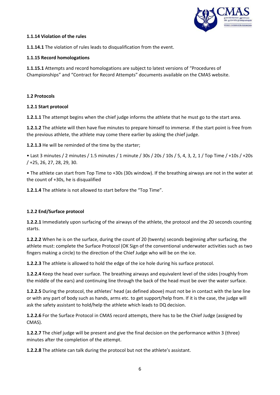

#### **1.1.14 Violation of the rules**

**1.1.14.1** The violation of rules leads to disqualification from the event.

#### **1.1.15 Record homologations**

**1.1.15.1** Attempts and record homologations are subject to latest versions of "Procedures of Championships" and "Contract for Record Attempts" documents available on the CMAS website.

#### **1.2 Protocols**

#### **1.2.1 Start protocol**

**1.2.1.1** The attempt begins when the chief judge informs the athlete that he must go to the start area.

**1.2.1.2** The athlete will then have five minutes to prepare himself to immerse. If the start point is free from the previous athlete, the athlete may come there earlier by asking the chief judge.

**1.2.1.3** He will be reminded of the time by the starter;

• Last 3 minutes / 2 minutes / 1.5 minutes / 1 minute / 30s / 20s / 10s / 5, 4, 3, 2, 1 / Top Time / +10s / +20s / +25, 26, 27, 28, 29, 30.

• The athlete can start from Top Time to +30s (30s window). If the breathing airways are not in the water at the count of +30s, he is disqualified

**1.2.1.4** The athlete is not allowed to start before the "Top Time".

#### **1.2.2 End/Surface protocol**

**1.2.2.1** Immediately upon surfacing of the airways of the athlete, the protocol and the 20 seconds counting starts.

**1.2.2.2** When he is on the surface, during the count of 20 (twenty) seconds beginning after surfacing, the athlete must: complete the Surface Protocol (OK Sign of the conventional underwater activities such as two fingers making a circle) to the direction of the Chief Judge who will be on the ice.

**1.2.2.3** The athlete is allowed to hold the edge of the ice hole during his surface protocol.

**1.2.2.4** Keep the head over surface. The breathing airways and equivalent level of the sides (roughly from the middle of the ears) and continuing line through the back of the head must be over the water surface.

**1.2.2.5** During the protocol, the athletes' head (as defined above) must not be in contact with the lane line or with any part of body such as hands, arms etc. to get support/help from. If it is the case, the judge will ask the safety assistant to hold/help the athlete which leads to DQ decision.

**1.2.2.6** For the Surface Protocol in CMAS record attempts, there has to be the Chief Judge (assigned by CMAS).

**1.2.2.7** The chief judge will be present and give the final decision on the performance within 3 (three) minutes after the completion of the attempt.

**1.2.2.8** The athlete can talk during the protocol but not the athlete's assistant.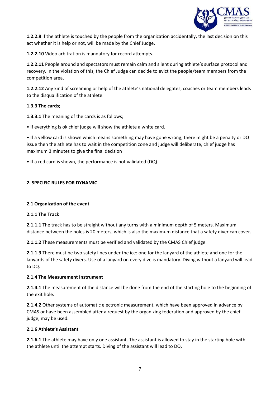

**1.2.2.9** If the athlete is touched by the people from the organization accidentally, the last decision on this act whether it is help or not, will be made by the Chief Judge.

**1.2.2.10** Video arbitration is mandatory for record attempts.

**1.2.2.11** People around and spectators must remain calm and silent during athlete's surface protocol and recovery. In the violation of this, the Chief Judge can decide to evict the people/team members from the competition area.

**1.2.2.12** Any kind of screaming or help of the athlete's national delegates, coaches or team members leads to the disqualification of the athlete.

#### **1.3.3 The cards;**

**1.3.3.1** The meaning of the cards is as follows;

• If everything is ok chief judge will show the athlete a white card.

• If a yellow card is shown which means something may have gone wrong; there might be a penalty or DQ issue then the athlete has to wait in the competition zone and judge will deliberate, chief judge has maximum 3 minutes to give the final decision

• If a red card is shown, the performance is not validated (DQ).

#### **2. SPECIFIC RULES FOR DYNAMIC**

#### **2.1 Organization of the event**

#### **2.1.1 The Track**

**2.1.1.1** The track has to be straight without any turns with a minimum depth of 5 meters. Maximum distance between the holes is 20 meters, which is also the maximum distance that a safety diver can cover.

**2.1.1.2** These measurements must be verified and validated by the CMAS Chief judge.

**2.1.1.3** There must be two safety lines under the ice: one for the lanyard of the athlete and one for the lanyards of the safety divers. Use of a lanyard on every dive is mandatory. Diving without a lanyard will lead to DQ.

#### **2.1.4 The Measurement Instrument**

**2.1.4.1** The measurement of the distance will be done from the end of the starting hole to the beginning of the exit hole.

**2.1.4.2** Other systems of automatic electronic measurement, which have been approved in advance by CMAS or have been assembled after a request by the organizing federation and approved by the chief judge, may be used.

#### **2.1.6 Athlete's Assistant**

**2.1.6.1** The athlete may have only one assistant. The assistant is allowed to stay in the starting hole with the athlete until the attempt starts. Diving of the assistant will lead to DQ.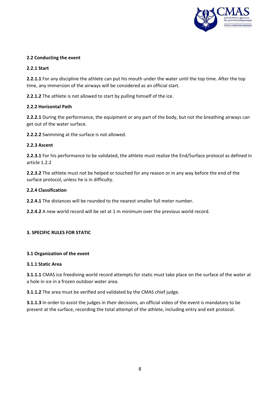

#### **2.2 Conducting the event**

#### **2.2.1 Start**

**2.2.1.1** For any discipline the athlete can put his mouth under the water until the top time. After the top time, any immersion of the airways will be considered as an official start.

**2.2.1.2** The athlete is not allowed to start by pulling himself of the ice.

#### **2.2.2 Horizontal Path**

**2.2.2.1** During the performance, the equipment or any part of the body, but not the breathing airways can get out of the water surface.

**2.2.2.2** Swimming at the surface is not allowed.

#### **2.2.3 Ascent**

**2.2.3.1** For his performance to be validated, the athlete must realize the End/Surface protocol as defined in article 1.2.2

**2.2.3.2** The athlete must not be helped or touched for any reason or in any way before the end of the surface protocol, unless he is in difficulty.

#### **2.2.4 Classification**

**2.2.4.1** The distances will be rounded to the nearest smaller full meter number.

**2.2.4.2** A new world record will be set at 1 m minimum over the previous world record.

#### **3. SPECIFIC RULES FOR STATIC**

#### **3.1 Organization of the event**

#### **3.1.1 Static Area**

**3.1.1.1** CMAS ice freediving world record attempts for static must take place on the surface of the water at a hole in ice in a frozen outdoor water area.

**3.1.1.2** The area must be verified and validated by the CMAS chief judge.

**3.1.1.3** In order to assist the judges in their decisions, an official video of the event is mandatory to be present at the surface, recording the total attempt of the athlete, including entry and exit protocol.